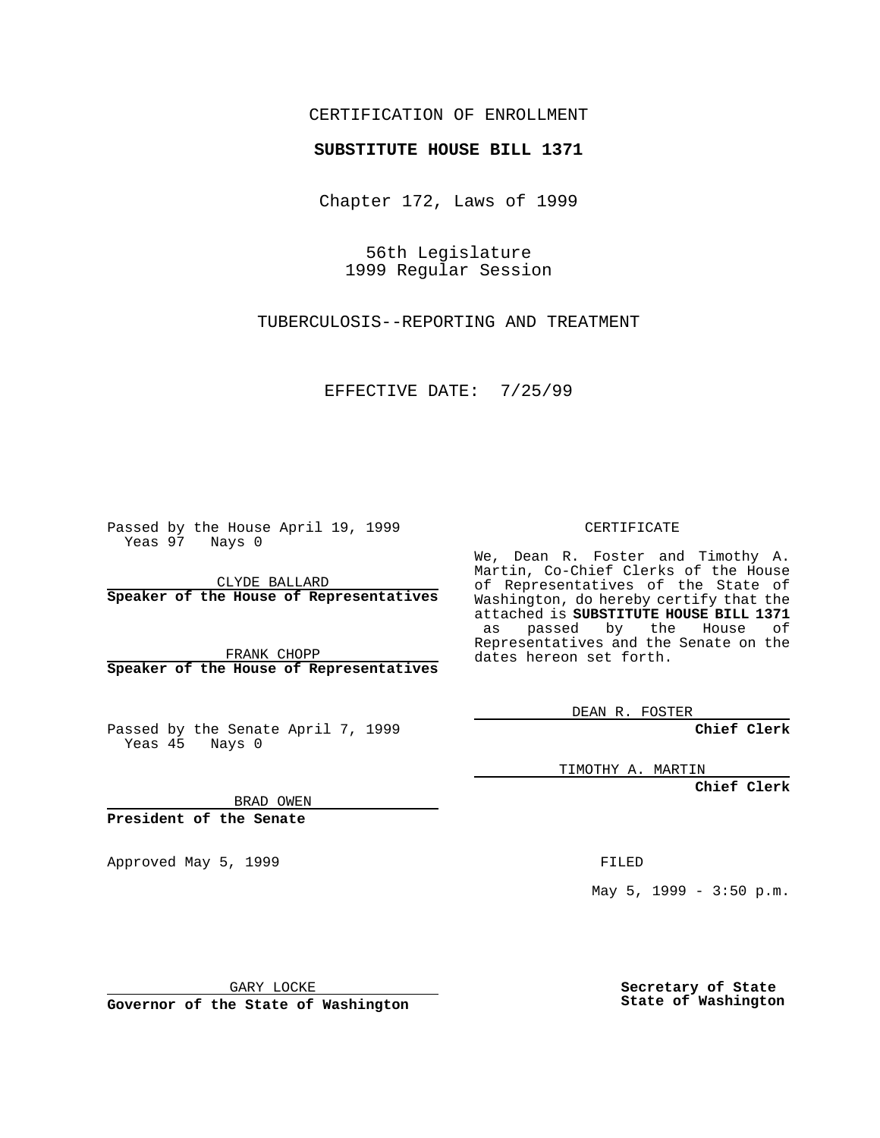### CERTIFICATION OF ENROLLMENT

# **SUBSTITUTE HOUSE BILL 1371**

Chapter 172, Laws of 1999

56th Legislature 1999 Regular Session

TUBERCULOSIS--REPORTING AND TREATMENT

EFFECTIVE DATE: 7/25/99

Passed by the House April 19, 1999 Yeas 97 Nays 0

CLYDE BALLARD **Speaker of the House of Representatives**

FRANK CHOPP **Speaker of the House of Representatives**

Passed by the Senate April 7, 1999 Yeas 45 Nays 0

CERTIFICATE

We, Dean R. Foster and Timothy A. Martin, Co-Chief Clerks of the House of Representatives of the State of Washington, do hereby certify that the attached is **SUBSTITUTE HOUSE BILL 1371** as passed by the House of Representatives and the Senate on the dates hereon set forth.

DEAN R. FOSTER

**Chief Clerk**

TIMOTHY A. MARTIN

**Chief Clerk**

BRAD OWEN

**President of the Senate**

Approved May 5, 1999 **FILED** 

May 5, 1999 - 3:50 p.m.

GARY LOCKE

**Governor of the State of Washington**

**Secretary of State State of Washington**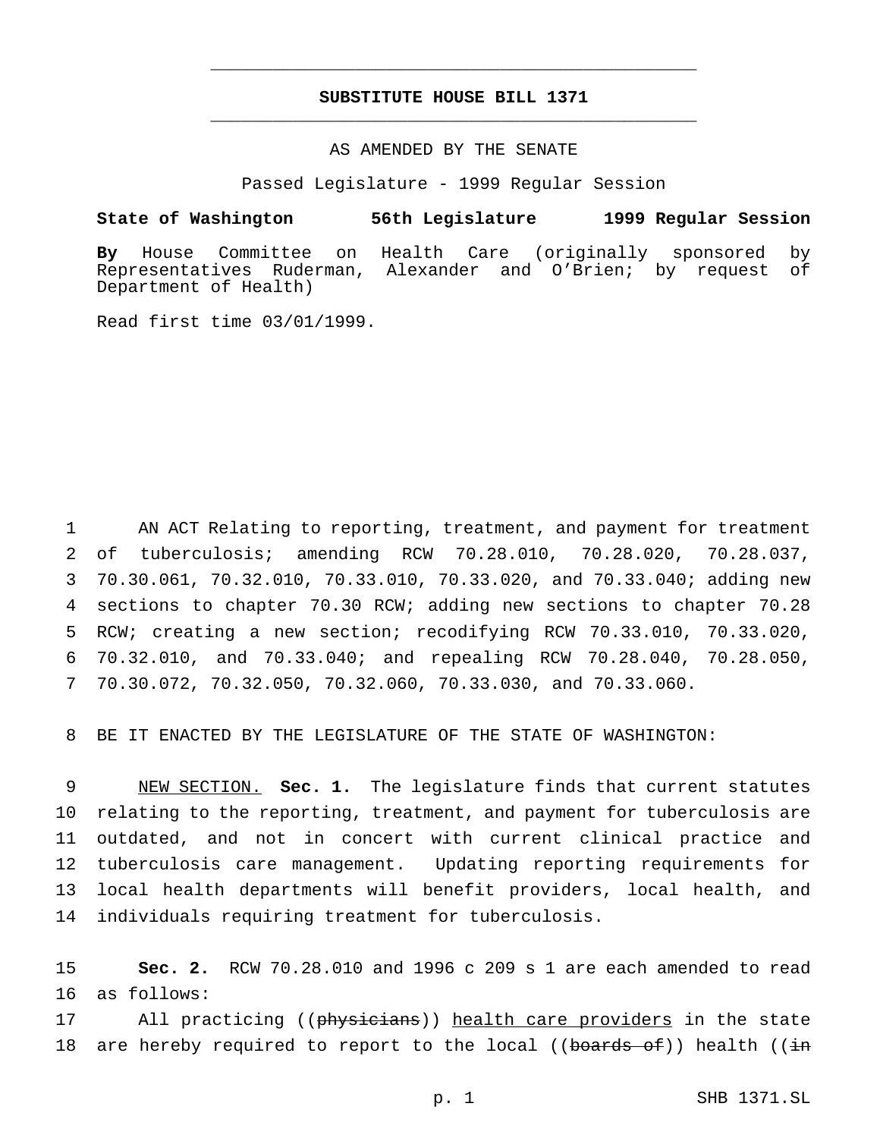## **SUBSTITUTE HOUSE BILL 1371** \_\_\_\_\_\_\_\_\_\_\_\_\_\_\_\_\_\_\_\_\_\_\_\_\_\_\_\_\_\_\_\_\_\_\_\_\_\_\_\_\_\_\_\_\_\_\_

\_\_\_\_\_\_\_\_\_\_\_\_\_\_\_\_\_\_\_\_\_\_\_\_\_\_\_\_\_\_\_\_\_\_\_\_\_\_\_\_\_\_\_\_\_\_\_

#### AS AMENDED BY THE SENATE

Passed Legislature - 1999 Regular Session

#### **State of Washington 56th Legislature 1999 Regular Session**

**By** House Committee on Health Care (originally sponsored by Representatives Ruderman, Alexander and O'Brien; by request of Department of Health)

Read first time 03/01/1999.

 AN ACT Relating to reporting, treatment, and payment for treatment of tuberculosis; amending RCW 70.28.010, 70.28.020, 70.28.037, 70.30.061, 70.32.010, 70.33.010, 70.33.020, and 70.33.040; adding new sections to chapter 70.30 RCW; adding new sections to chapter 70.28 RCW; creating a new section; recodifying RCW 70.33.010, 70.33.020, 70.32.010, and 70.33.040; and repealing RCW 70.28.040, 70.28.050, 70.30.072, 70.32.050, 70.32.060, 70.33.030, and 70.33.060.

8 BE IT ENACTED BY THE LEGISLATURE OF THE STATE OF WASHINGTON:

 NEW SECTION. **Sec. 1.** The legislature finds that current statutes relating to the reporting, treatment, and payment for tuberculosis are outdated, and not in concert with current clinical practice and tuberculosis care management. Updating reporting requirements for local health departments will benefit providers, local health, and individuals requiring treatment for tuberculosis.

15 **Sec. 2.** RCW 70.28.010 and 1996 c 209 s 1 are each amended to read 16 as follows:

17 All practicing ((physicians)) health care providers in the state 18 are hereby required to report to the local (( $b$ oards of)) health ( $(i\texttt{in})$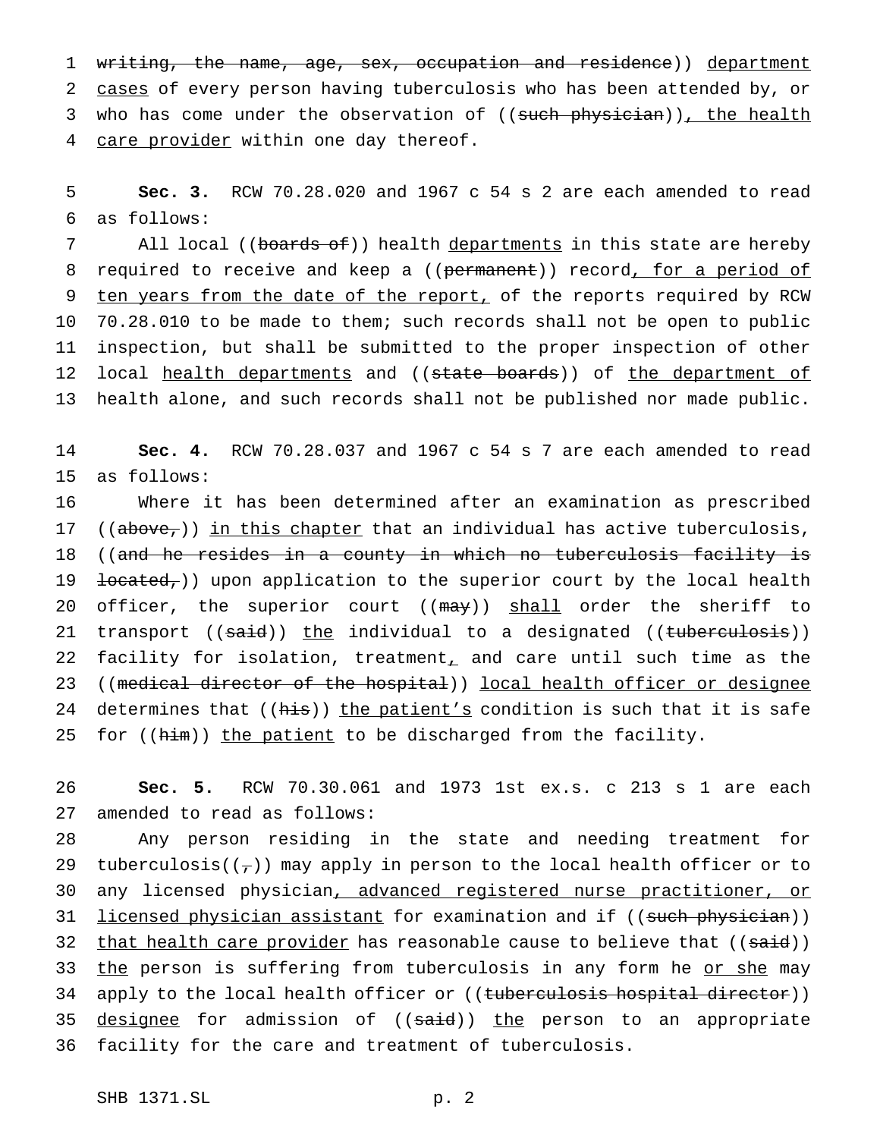1 writing, the name, age, sex, occupation and residence)) department 2 cases of every person having tuberculosis who has been attended by, or 3 who has come under the observation of ((such physician)), the health 4 care provider within one day thereof.

5 **Sec. 3.** RCW 70.28.020 and 1967 c 54 s 2 are each amended to read 6 as follows:

7 All local ((boards of)) health departments in this state are hereby 8 required to receive and keep a ((permanent)) record, for a period of 9 ten years from the date of the report, of the reports required by RCW 10 70.28.010 to be made to them; such records shall not be open to public 11 inspection, but shall be submitted to the proper inspection of other 12 local health departments and ((state boards)) of the department of 13 health alone, and such records shall not be published nor made public.

14 **Sec. 4.** RCW 70.28.037 and 1967 c 54 s 7 are each amended to read 15 as follows:

16 Where it has been determined after an examination as prescribed 17 (( $above<sub>7</sub>$ )) in this chapter that an individual has active tuberculosis, 18 ((and he resides in a county in which no tuberculosis facility is 19  $\text{located}_t$ ) upon application to the superior court by the local health 20 officer, the superior court ((may)) shall order the sheriff to 21 transport ((said)) the individual to a designated ((tuberculosis)) 22 facility for isolation, treatment, and care until such time as the 23 ((medical director of the hospital)) local health officer or designee 24 determines that ((his)) the patient's condition is such that it is safe 25 for ((him)) the patient to be discharged from the facility.

26 **Sec. 5.** RCW 70.30.061 and 1973 1st ex.s. c 213 s 1 are each 27 amended to read as follows:

28 Any person residing in the state and needing treatment for 29 tuberculosis( $(\tau)$ ) may apply in person to the local health officer or to 30 any licensed physician, advanced registered nurse practitioner, or 31 licensed physician assistant for examination and if ((such physician)) 32 that health care provider has reasonable cause to believe that  $((\text{said}))$ 33 the person is suffering from tuberculosis in any form he or she may 34 apply to the local health officer or ((tuberculosis hospital director)) 35 designee for admission of ((said)) the person to an appropriate 36 facility for the care and treatment of tuberculosis.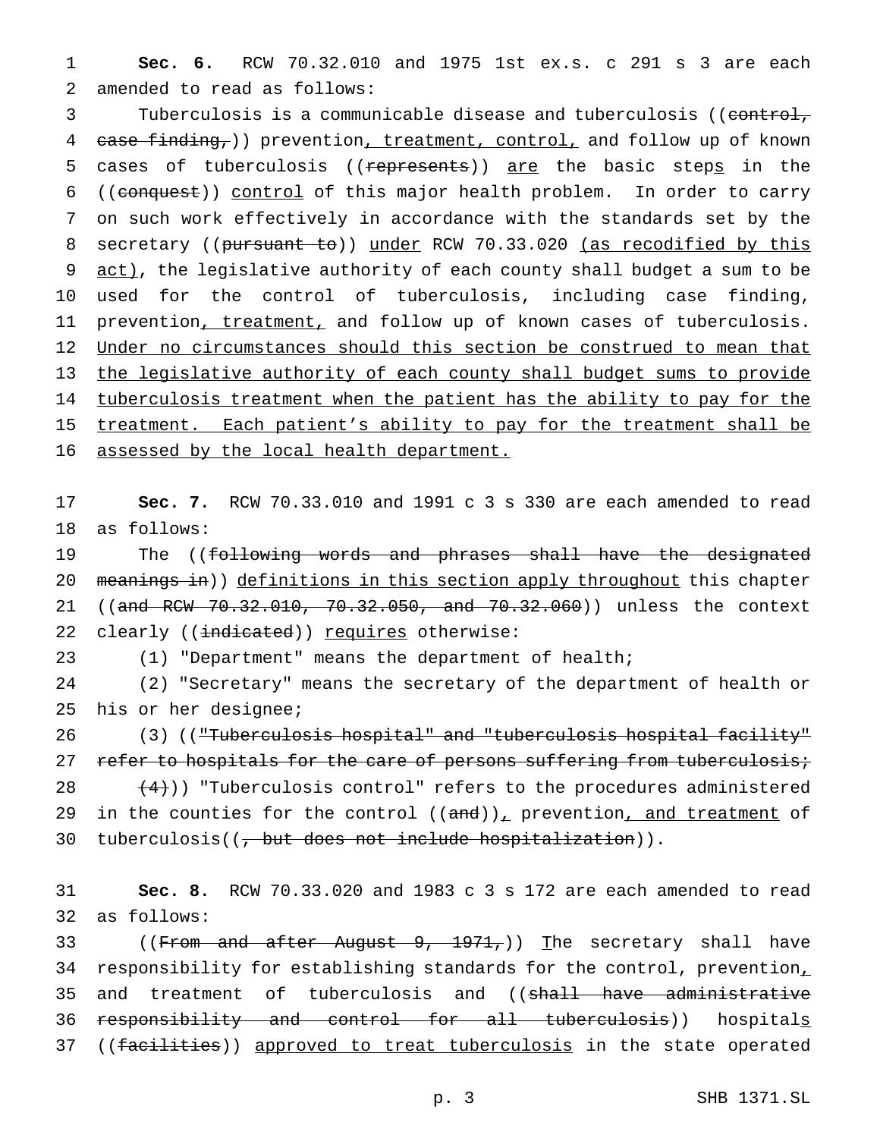1 **Sec. 6.** RCW 70.32.010 and 1975 1st ex.s. c 291 s 3 are each 2 amended to read as follows:

3 Tuberculosis is a communicable disease and tuberculosis ((control, 4 case finding, ) prevention, treatment, control, and follow up of known 5 cases of tuberculosis ((represents)) are the basic steps in the 6 ((conquest)) control of this major health problem. In order to carry 7 on such work effectively in accordance with the standards set by the 8 secretary ((pursuant to)) under RCW 70.33.020 (as recodified by this 9 act), the legislative authority of each county shall budget a sum to be 10 used for the control of tuberculosis, including case finding, 11 prevention, treatment, and follow up of known cases of tuberculosis. 12 Under no circumstances should this section be construed to mean that 13 the legislative authority of each county shall budget sums to provide 14 tuberculosis treatment when the patient has the ability to pay for the 15 treatment. Each patient's ability to pay for the treatment shall be 16 assessed by the local health department.

17 **Sec. 7.** RCW 70.33.010 and 1991 c 3 s 330 are each amended to read 18 as follows:

19 The ((following words and phrases shall have the designated 20 meanings in)) definitions in this section apply throughout this chapter 21 ((and RCW 70.32.010, 70.32.050, and 70.32.060)) unless the context 22 clearly ((indicated)) requires otherwise:

23 (1) "Department" means the department of health;

24 (2) "Secretary" means the secretary of the department of health or 25 his or her designee;

26 (3) (("Tuberculosis hospital" and "tuberculosis hospital facility" 27 refer to hospitals for the care of persons suffering from tuberculosis; 28  $(4)$ ) "Tuberculosis control" refers to the procedures administered 29 in the counties for the control  $((and))_T$  prevention, and treatment of 30 tuberculosis( $\left(\frac{1}{t} + \frac{1}{t} + \frac{1}{t} + \frac{1}{t} + \frac{1}{t} + \frac{1}{t} + \frac{1}{t} + \frac{1}{t} + \frac{1}{t} + \frac{1}{t} + \frac{1}{t} + \frac{1}{t} + \frac{1}{t} + \frac{1}{t} + \frac{1}{t} + \frac{1}{t} + \frac{1}{t} + \frac{1}{t} + \frac{1}{t} + \frac{1}{t} + \frac{1}{t} + \frac{1}{t} + \frac{1}{t} + \frac{1}{t} + \frac{1}{t} + \frac$ 

31 **Sec. 8.** RCW 70.33.020 and 1983 c 3 s 172 are each amended to read 32 as follows:

33 ((From and after August 9, 1971,)) The secretary shall have 34 responsibility for establishing standards for the control, prevention, 35 and treatment of tuberculosis and ((shall have administrative 36 responsibility and control for all tuberculosis)) hospitals 37 ((facilities)) approved to treat tuberculosis in the state operated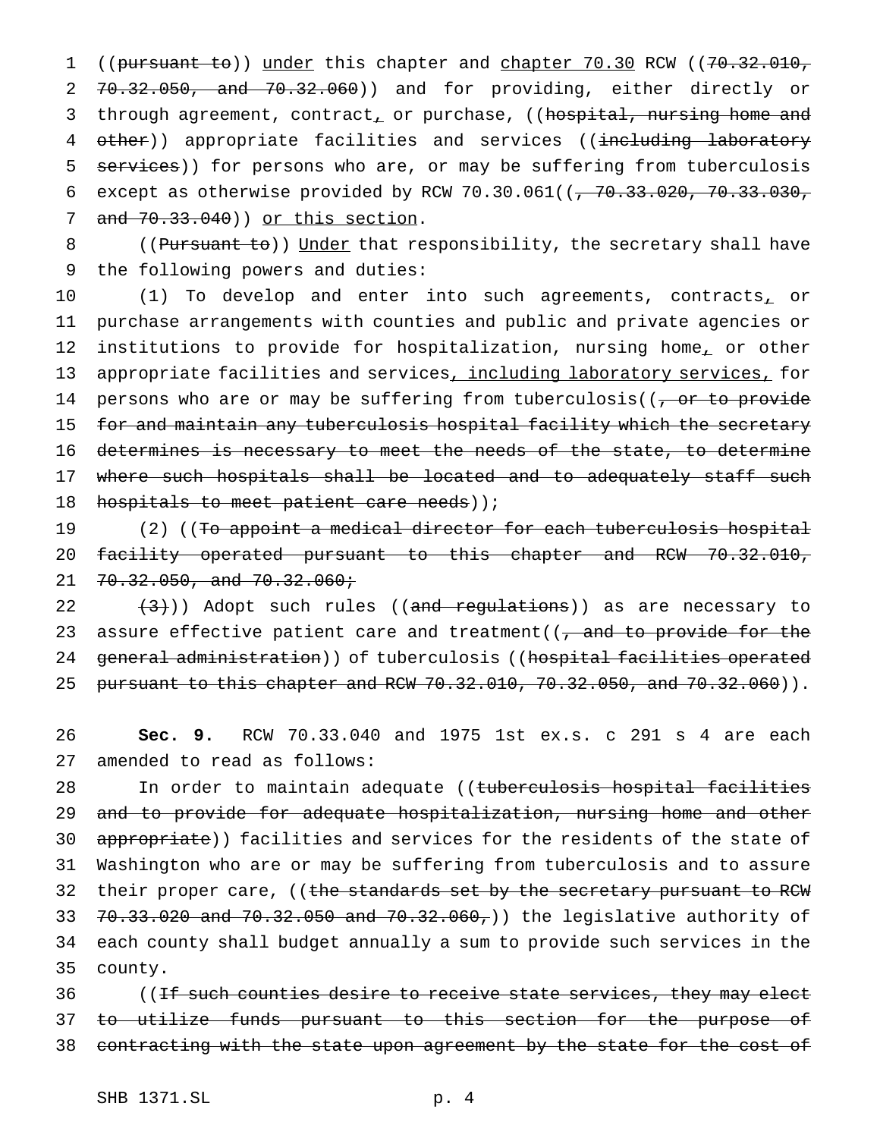1 ((pursuant to)) under this chapter and chapter 70.30 RCW ((70.32.010, 2 70.32.050, and 70.32.060)) and for providing, either directly or 3 through agreement, contract, or purchase, ((hospital, nursing home and 4 other)) appropriate facilities and services ((including laboratory 5 services)) for persons who are, or may be suffering from tuberculosis 6 except as otherwise provided by RCW 70.30.061( $(-70.33.020, 70.33.030,$ 7 and 70.33.040)) or this section.

8 ((Pursuant to)) Under that responsibility, the secretary shall have 9 the following powers and duties:

10 (1) To develop and enter into such agreements, contracts, or 11 purchase arrangements with counties and public and private agencies or 12 institutions to provide for hospitalization, nursing home, or other 13 appropriate facilities and services, including laboratory services, for 14 persons who are or may be suffering from tuberculosis( $(-\sigma r t_0)$  provide 15 for and maintain any tuberculosis hospital facility which the secretary 16 determines is necessary to meet the needs of the state, to determine 17 where such hospitals shall be located and to adequately staff such 18 hospitals to meet patient care needs));

19 (2) ((To appoint a medical director for each tuberculosis hospital 20 facility operated pursuant to this chapter and RCW 70.32.010, 21 70.32.050, and 70.32.060;

22  $(3)$ ) Adopt such rules ((and regulations)) as are necessary to 23 assure effective patient care and treatment( $\sqrt{2}$ , and to provide for the 24 general administration) of tuberculosis ((hospital facilities operated 25 pursuant to this chapter and RCW 70.32.010, 70.32.050, and 70.32.060)).

26 **Sec. 9.** RCW 70.33.040 and 1975 1st ex.s. c 291 s 4 are each 27 amended to read as follows:

28 In order to maintain adequate ((tuberculosis hospital facilities 29 and to provide for adequate hospitalization, nursing home and other 30 appropriate)) facilities and services for the residents of the state of 31 Washington who are or may be suffering from tuberculosis and to assure 32 their proper care, ((the standards set by the secretary pursuant to RCW 33 70.33.020 and 70.32.050 and 70.32.060,)) the legislative authority of 34 each county shall budget annually a sum to provide such services in the 35 county.

36 (If such counties desire to receive state services, they may elect 37 <del>to utilize funds pursuant to this section for the purpose of</del> 38 contracting with the state upon agreement by the state for the cost of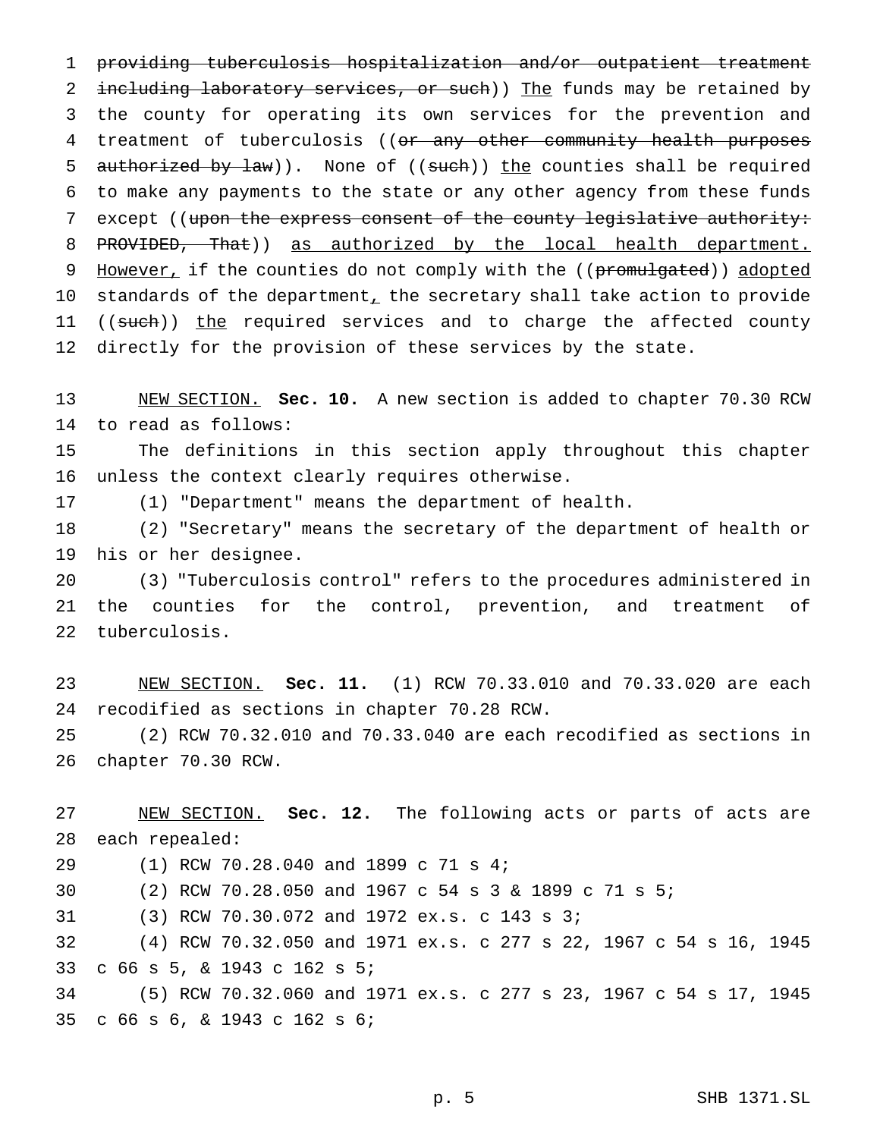providing tuberculosis hospitalization and/or outpatient treatment 2 including laboratory services, or such)) The funds may be retained by the county for operating its own services for the prevention and 4 treatment of tuberculosis ((or any other community health purposes 5 authorized by law)). None of  $((such))$  the counties shall be required to make any payments to the state or any other agency from these funds 7 except ((upon the express consent of the county legislative authority: 8 PROVIDED, That)) as authorized by the local health department. 9 However, if the counties do not comply with the ((promulgated)) adopted 10 standards of the department, the secretary shall take action to provide 11 ((such)) the required services and to charge the affected county 12 directly for the provision of these services by the state.

 NEW SECTION. **Sec. 10.** A new section is added to chapter 70.30 RCW to read as follows:

 The definitions in this section apply throughout this chapter unless the context clearly requires otherwise.

(1) "Department" means the department of health.

 (2) "Secretary" means the secretary of the department of health or his or her designee.

 (3) "Tuberculosis control" refers to the procedures administered in the counties for the control, prevention, and treatment of tuberculosis.

 NEW SECTION. **Sec. 11.** (1) RCW 70.33.010 and 70.33.020 are each recodified as sections in chapter 70.28 RCW.

 (2) RCW 70.32.010 and 70.33.040 are each recodified as sections in chapter 70.30 RCW.

 NEW SECTION. **Sec. 12.** The following acts or parts of acts are each repealed: (1) RCW 70.28.040 and 1899 c 71 s 4; (2) RCW 70.28.050 and 1967 c 54s3& 1899 c 71 s 5; (3) RCW 70.30.072 and 1972 ex.s. c 143 s 3; (4) RCW 70.32.050 and 1971 ex.s. c 277 s 22, 1967 c 54 s 16, 1945 c 66 s 5, & 1943 c 162 s 5; (5) RCW 70.32.060 and 1971 ex.s. c 277 s 23, 1967 c 54 s 17, 1945 c 66 s 6, & 1943 c 162 s 6;